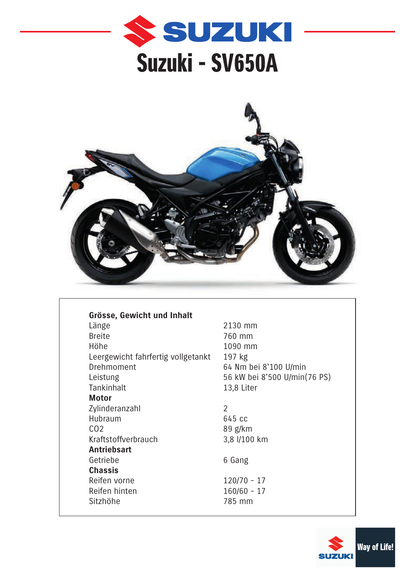



**Dimensions, poids et contenu Grösse, Gewicht und Inhalt** Leergewicht fahrfertig vollgetankt 197 kg Tankinhalt 13,8 Liter **Moteur Motor** Nombre de cylindre 2 Zylinderanzahl Hubraum 645 cc Kraftstoffverbrauch and 3,8 l/100 km **Entrainement Antriebsart Chassis** Reifen vorne 120/70 - 17 Reifen hinten and arrière 160/60 - 17 Sitzhöhe 1985 mm Länge Breite Höhe Drehmoment Leistung  $C<sub>02</sub>$ Getriebe

2130 mm 760 mm 1090 mm 64 Nm bei 8'100 U/min 56 kW bei 8'500 U/min(76 PS)

89 g/km

6 Gang

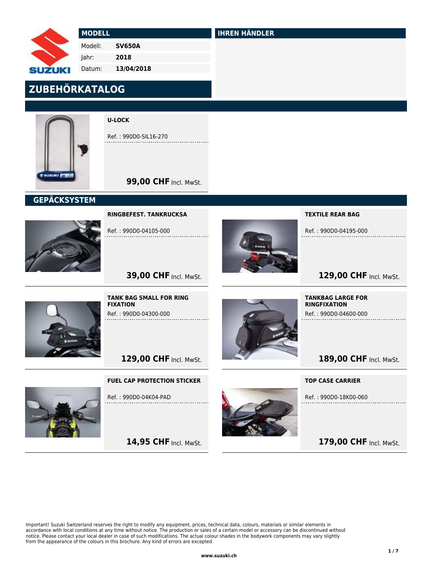

#### MODELL

Modell:

SV650A

 Jahr: 2018

 Datum: 13/04/2018

# ZUBEHÖRKATALOG



U-LOCK

Ref. : 990D0-SIL16-270

# **99,00 CHF Incl. MwSt.**

## **GEPÄCKSYSTEM**



RINGBEFEST. TANKRUCKSA

Ref. : 990D0-04105-000



IHREN HÄNDLER

TEXTILE REAR BAG

Ref. : 990D0-04195-000

# 129,00 CHF Incl. MwSt.



TANK BAG SMALL FOR RING FIXATION Ref. : 990D0-04300-000

**39,00 CHF Incl. MwSt.** 

129,00 CHF Incl. MwSt.

FUEL CAP PROTECTION STICKER



Ref. : 990D0-04K04-PAD

14,95 CHF Incl. MwSt.



TANKBAG LARGE FOR RINGFIXATION Ref. : 990D0-04600-000

189,00 CHF Incl. MwSt.

TOP CASE CARRIER

Ref. : 990D0-18K00-060

179,00 CHF Incl. MwSt.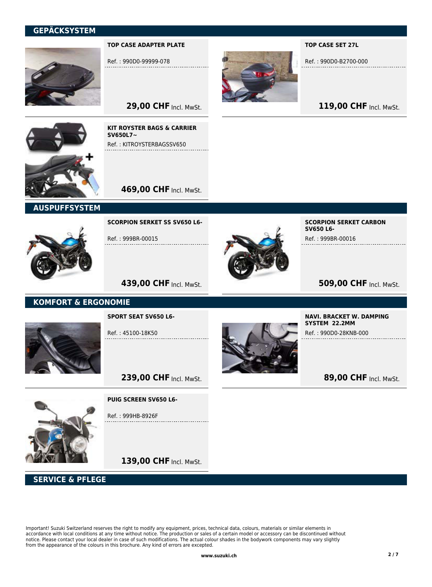

#### TOP CASE ADAPTER PLATE

Ref. : 990D0-99999-078



#### TOP CASE SET 27L

Ref. : 990D0-B2700-000

119,00 CHF Incl. MwSt.

29,00 CHF Incl. MwSt.

KIT ROYSTER BAGS & CARRIER

Ref. : KITROYSTERBAGSSV650

SV650L7~



**469,00 CHF Incl. MwSt.** 

#### AUSPUFFSYSTEM



SCORPION SERKET SS SV650 L6-

Ref. : 999BR-00015



SCORPION SERKET CARBON SV650 L6- Ref. : 999BR-00016

# **509,00 CHF Incl. MwSt.**

## 439,00 CHF Incl. MwSt.

#### KOMFORT & ERGONOMIE



SPORT SEAT SV650 L6-

Ref. : 45100-18K50



NAVI. BRACKET W. DAMPING SYSTEM 22.2MM

Ref. : 990D0-28KNB-000

89,00 CHF Incl. MwSt.

PUIG SCREEN SV650 L6-

Ref. : 999HB-8926F

139,00 CHF Incl. MwSt.

239,00 CHF Incl. MwSt.

## SERVICE & PFLEGE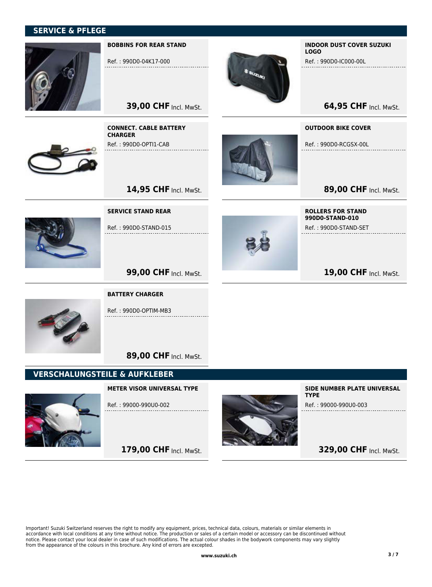## SERVICE & PFLEGE



#### BOBBINS FOR REAR STAND

Ref. : 990D0-04K17-000

CONNECT. CABLE BATTERY

Ref. : 990D0-OPTI1-CAB

SERVICE STAND REAR

Ref. : 990D0-STAND-015

**CHARGER** 

**39,00 CHF Incl. MwSt.** 

14,95 CHF Incl. MwSt.



#### INDOOR DUST COVER SUZUKI LOGO

Ref. : 990D0-IC000-00L

**64,95 CHF Incl. MwSt.** 

OUTDOOR BIKE COVER

Ref. : 990D0-RCGSX-00L

89,00 CHF Incl. MwSt.

ROLLERS FOR STAND 990D0-STAND-010

Ref. : 990D0-STAND-SET

19,00 CHF Incl. MwSt.



**99,00 CHF Incl. MwSt.** 



BATTERY CHARGER

Ref. : 990D0-OPTIM-MB3

89,00 CHF Incl. MwSt.

#### VERSCHALUNGSTEILE & AUFKLEBER

METER VISOR UNIVERSAL TYPE Ref. : 99000-990U0-002

179,00 CHF Incl. MwSt.



SIDE NUMBER PLATE UNIVERSAL **TYPE** 

Ref. : 99000-990U0-003

**329,00 CHF Incl. MwSt.**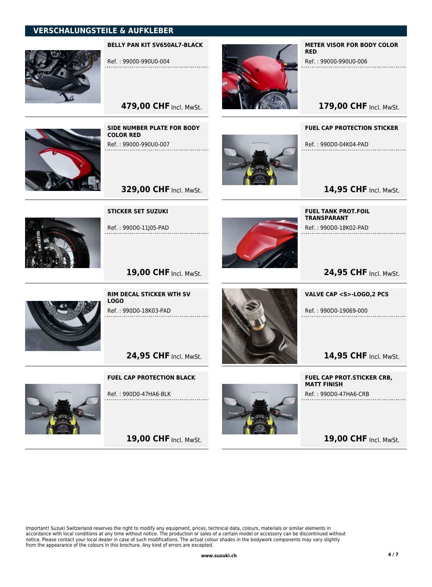

BELLY PAN KIT SV650AL7-BLACK

Ref. : 99000-990U0-004

479,00 CHF Incl. MwSt.



SIDE NUMBER PLATE FOR BODY COLOR RED Ref. : 99000-990U0-007 . . . . . . . . . . . .

**329,00 CHF Incl. MwSt.** 



METER VISOR FOR BODY COLOR RED

Ref. : 99000-990U0-006

179,00 CHF Incl. MwSt.

FUEL CAP PROTECTION STICKER Ref. : 990D0-04K04-PAD

14,95 CHF Incl. MwSt.



STICKER SET SUZUKI

Ref. : 990D0-11J05-PAD



24,95 CHF Incl. MwSt.



19,00 CHF Incl. MwSt.

RIM DECAL STICKER WTH SV LOGO Ref. : 990D0-18K03-PAD

24,95 CHF Incl. MwSt.

FUEL CAP PROTECTION BLACK



Ref. : 990D0-47HA6-BLK

19,00 CHF Incl. MwSt.



VALVE CAP <S>-LOGO,2 PCS

Ref. : 990D0-19069-000

FUEL TANK PROT.FOIL **TRANSPARANT** 

Ref. : 990D0-18K02-PAD

14,95 CHF Incl. MwSt.

FUEL CAP PROT.STICKER CRB, MATT FINISH Ref. : 990D0-47HA6-CRB

19,00 CHF Incl. MwSt.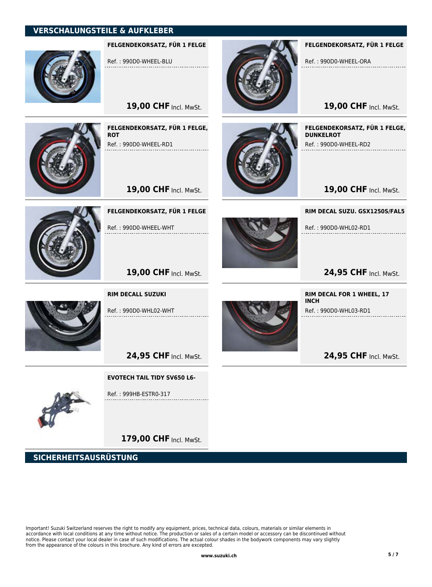

FELGENDEKORSATZ, FÜR 1 FELGE

Ref. : 990D0-WHEEL-BLU

19,00 CHF Incl. MwSt.



FELGENDEKORSATZ, FÜR 1 FELGE, **ROT** Ref. : 990D0-WHEEL-RD1





FELGENDEKORSATZ, FÜR 1 FELGE

Ref. : 990D0-WHEEL-WHT



FELGENDEKORSATZ, FÜR 1 FELGE

Ref. : 990D0-WHEEL-ORA

19,00 CHF Incl. MwSt.

FELGENDEKORSATZ, FÜR 1 FELGE, DUNKELROT Ref. : 990D0-WHEEL-RD2

19,00 CHF Incl. MwSt.

RIM DECAL SUZU. GSX1250S/FAL5

Ref. : 990D0-WHL02-RD1

24,95 CHF Incl. MwSt.

24,95 CHF Incl. MwSt.

RIM DECAL FOR 1 WHEEL, 17

Ref. : 990D0-WHL03-RD1

INCH



Ref. : 990D0-WHL02-WHT

RIM DECALL SUZUKI

19,00 CHF Incl. MwSt.

24,95 CHF Incl. MwSt.

EVOTECH TAIL TIDY SV650 L6-



Ref. : 999HB-ESTR0-317

179,00 CHF Incl. MwSt.

SICHERHEITSAUSRÜSTUNG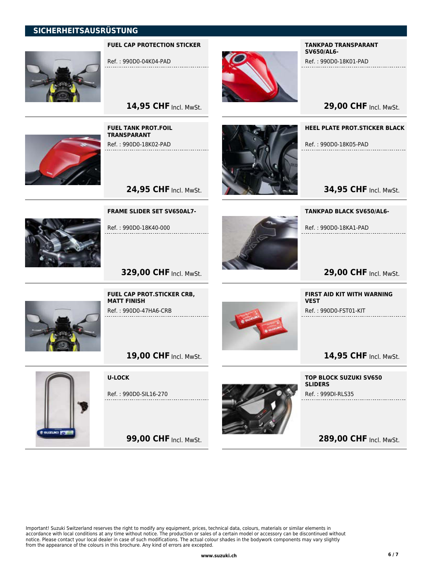## SICHERHEITSAUSRÜSTUNG



#### FUEL CAP PROTECTION STICKER

Ref. : 990D0-04K04-PAD



TANKPAD TRANSPARANT SV650/AL6-

Ref. : 990D0-18K01-PAD

**29,00 CHF Incl. MwSt.** 

FUEL TANK PROT.FOIL TRANSPARANT Ref. : 990D0-18K02-PAD

14,95 CHF Incl. MwSt.



HEEL PLATE PROT.STICKER BLACK

Ref. : 990D0-18K05-PAD . . . . . . . . . . . . . . .

**34,95 CHF Incl. MwSt.** 

FRAME SLIDER SET SV650AL7-



**329,00 CHF Incl. MwSt.** 

Ref. : 990D0-18K40-000

24,95 CHF Incl. MwSt.



TANKPAD BLACK SV650/AL6-

Ref. : 990D0-18KA1-PAD

FIRST AID KIT WITH WARNING

Ref. : 990D0-FST01-KIT

VEST

**29,00 CHF Incl. MwSt.** 

14,95 CHF Incl. MwSt.



FUEL CAP PROT.STICKER CRB, MATT FINISH

Ref. : 990D0-47HA6-CRB

19,00 CHF Incl. MwSt.



U-LOCK

Ref. : 990D0-SIL16-270

**99,00 CHF Incl. MwSt.** 



TOP BLOCK SUZUKI SV650 **SLIDERS** Ref. : 999DI-RLS35

289,00 CHF Incl. MwSt.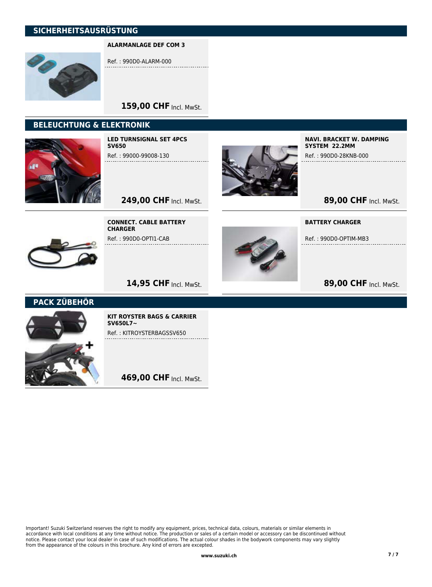## SICHERHEITSAUSRÜSTUNG

#### ALARMANLAGE DEF COM 3



Ref. : 990D0-ALARM-000

## 159,00 CHF Incl. MwSt.

## BELEUCHTUNG & ELEKTRONIK



LED TURNSIGNAL SET 4PCS SV650

Ref. : 99000-99008-130



NAVI. BRACKET W. DAMPING SYSTEM 22.2MM

Ref. : 990D0-28KNB-000

89,00 CHF Incl. MwSt.

249,00 CHF Incl. MwSt.



**CHARGER** Ref. : 990D0-OPTI1-CAB

CONNECT. CABLE BATTERY



BATTERY CHARGER

Ref. : 990D0-OPTIM-MB3

# 89,00 CHF Incl. MwSt.

## 14,95 CHF Incl. MwSt.

PACK ZÜBEHÖR



KIT ROYSTER BAGS & CARRIER SV650L7~ Ref. : KITROYSTERBAGSSV650

469,00 CHF Incl. MwSt.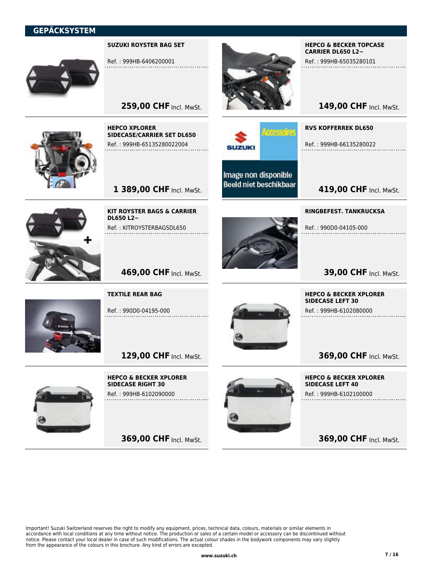#### SUZUKI ROYSTER BAG SET



Ref. : 999HB-6406200001

259,00 CHF Incl. MwSt.



HEPCO XPLORER SIDECASE/CARRIER SET DL650 Ref. : 999HB-65135280022004

1 389,00 CHF Incl. MwSt.



DL650 L2~ Ref. : KITROYSTERBAGSDL650

KIT ROYSTER BAGS & CARRIER



Image non disponible **Beeld niet beschikbaar** 

SUZUKI

mesofre

HEPCO & BECKER TOPCASE CARRIER DL650 L2~

Ref. : 999HB-65035280101

RVS KOFFERREK DL650

Ref. : 999HB-66135280022

**419,00 CHF Incl. MwSt.** 

149,00 CHF Incl. MwSt.

RINGBEFEST. TANKRUCKSA Ref. : 990D0-04105-000

HEPCO & BECKER XPLORER

SIDECASE LEFT 30

Ref. : 999HB-6102080000



TEXTILE REAR BAG

469,00 CHF Incl. MwSt.

Ref. : 990D0-04195-000

129,00 CHF Incl. MwSt.



HEPCO & BECKER XPLORER SIDECASE RIGHT 30 Ref. : 999HB-6102090000

369,00 CHF Incl. MwSt.



HEPCO & BECKER XPLORER SIDECASE LEFT 40 Ref. : 999HB-6102100000

**369,00 CHF Incl. MwSt.** 

369,00 CHF Incl. MwSt.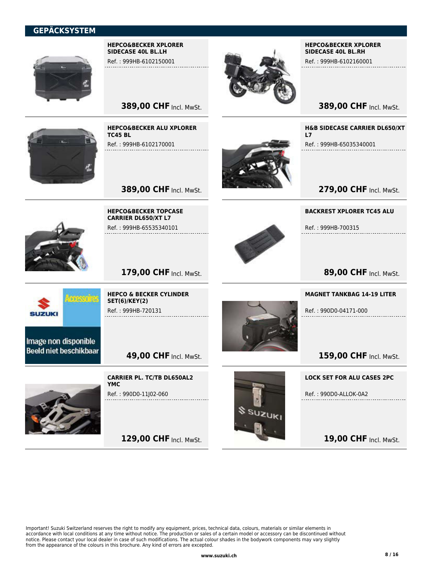

HEPCO&BECKER XPLORER SIDECASE 40L BL.LH

Ref. : 999HB-6102150001

**389,00 CHF Incl. MwSt.** 

**389,00 CHF Incl. MwSt.** 

179,00 CHF Incl. MwSt.

HEPCO & BECKER CYLINDER

SET(6)/KEY(2) Ref. : 999HB-720131

HEPCO&BECKER ALU XPLORER

Ref. : 999HB-6102170001

HEPCO&BECKER TOPCASE CARRIER DL650/XT L7 Ref. : 999HB-65535340101

TC45 BL



#### HEPCO&BECKER XPLORER SIDECASE 40L BL.RH

Ref. : 999HB-6102160001

**389,00 CHF Incl. MwSt.** 

H&B SIDECASE CARRIER DL650/XT L7

Ref. : 999HB-65035340001

279,00 CHF Incl. MwSt.

BACKREST XPLORER TC45 ALU

Ref. : 999HB-700315



89,00 CHF Incl. MwSt.

#### MAGNET TANKBAG 14-19 LITER

Ref. : 990D0-04171-000

159,00 CHF Incl. MwSt.

Image non disponible **Beeld niet beschikbaar** 

**SUZUKI** 

**49,00 CHF Incl. MwSt.** 

CARRIER PL. TC/TB DL650AL2 YMC Ref. : 990D0-11J02-060

129,00 CHF Incl. MwSt.



LOCK SET FOR ALU CASES 2PC

Ref. : 990D0-ALLOK-0A2

19,00 CHF Incl. MwSt.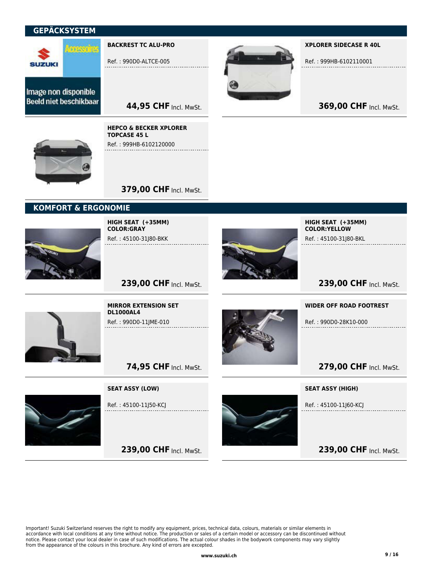

BACKREST TC ALU-PRO

Ref. : 990D0-ALTCE-005



XPLORER SIDECASE R 40L

Ref. : 999HB-6102110001

369,00 CHF Incl. MwSt.

Image non disponible **Beeld niet beschikbaar** 

> HEPCO & BECKER XPLORER TOPCASE 45 L Ref. : 999HB-6102120000



**379,00 CHF Incl. MwSt.** 

44,95 CHF Incl. MwSt.

## KOMFORT & ERGONOMIE



HIGH SEAT (+35MM) COLOR:GRAY Ref. : 45100-31J80-BKK



HIGH SEAT (+35MM) COLOR:YELLOW Ref. : 45100-31J80-BKL

239,00 CHF Incl. MwSt.



239,00 CHF Incl. MwSt.

MIRROR EXTENSION SET DL1000AL4 Ref. : 990D0-11JME-010



WIDER OFF ROAD FOOTREST

Ref. : 990D0-28K10-000

## 279,00 CHF Incl. MwSt.

SEAT ASSY (HIGH)

Ref. : 45100-11J60-KCJ

239,00 CHF Incl. MwSt.

SEAT ASSY (LOW)

**74,95 CHF Incl. MwSt.** 



Ref. : 45100-11J50-KCJ

239,00 CHF Incl. MwSt.

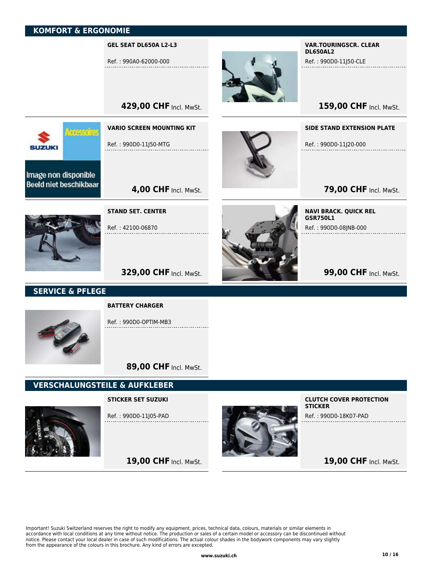meadu

#### GEL SEAT DL650A L2-L3

Ref. : 990A0-62000-000

429,00 CHF Incl. MwSt.

**4,00 CHF Incl. MwSt.** 

VARIO SCREEN MOUNTING KIT

Ref. : 990D0-11J50-MTG



#### VAR.TOURINGSCR. CLEAR DL650AL2

Ref. : 990D0-11J50-CLE

159,00 CHF Incl. MwSt.

#### SIDE STAND EXTENSION PLATE

Ref. : 990D0-11J20-000

**79,00 CHF Incl. MwSt.** 



Image non disponible **Beeld niet beschikbaar** 

**SUZUKI** 

STAND SET. CENTER

Ref. : 42100-06870



NAVI BRACK. QUICK REL GSR750L1 Ref. : 990D0-08JNB-000

**99,00 CHF Incl. MwSt.** 

## **329,00 CHF Incl. MwSt.**

## SERVICE & PFLEGE



Ref. : 990D0-OPTIM-MB3

89,00 CHF Incl. MwSt.

19,00 CHF Incl. MwSt.

## VERSCHALUNGSTEILE & AUFKLEBER



STICKER SET SUZUKI

Ref. : 990D0-11J05-PAD



CLUTCH COVER PROTECTION **STICKER** Ref. : 990D0-18K07-PAD

19,00 CHF Incl. MwSt.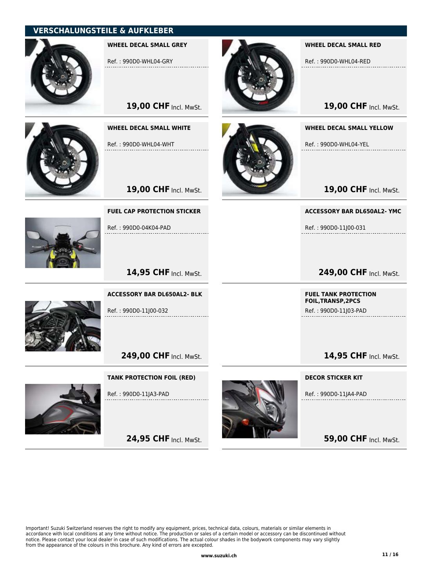

WHEEL DECAL SMALL GREY

Ref. : 990D0-WHL04-GRY



| 19,00 CHF Incl. MwSt. |  |
|-----------------------|--|
|                       |  |

WHEEL DECAL SMALL WHITE

Ref. : 990D0-WHL04-WHT

FUEL CAP PROTECTION STICKER

Ref. : 990D0-04K04-PAD

Ref. : 990D0-11J00-032

19,00 CHF Incl. MwSt.



#### WHEEL DECAL SMALL RED

Ref. : 990D0-WHL04-RED

19,00 CHF Incl. MwSt.

#### WHEEL DECAL SMALL YELLOW

Ref. : 990D0-WHL04-YEL

19,00 CHF Incl. MwSt.

ACCESSORY BAR DL650AL2- YMC

Ref. : 990D0-11J00-031

249,00 CHF Incl. MwSt.

FUEL TANK PROTECTION FOIL,TRANSP,2PCS

Ref. : 990D0-11J03-PAD

## 14,95 CHF Incl. MwSt.

14,95 CHF Incl. MwSt.

ACCESSORY BAR DL650AL2- BLK

249,00 CHF Incl. MwSt.

#### TANK PROTECTION FOIL (RED)

Ref. : 990D0-11JA3-PAD

24,95 CHF Incl. MwSt.



DECOR STICKER KIT

Ref. : 990D0-11JA4-PAD

**59,00 CHF Incl. MwSt.** 

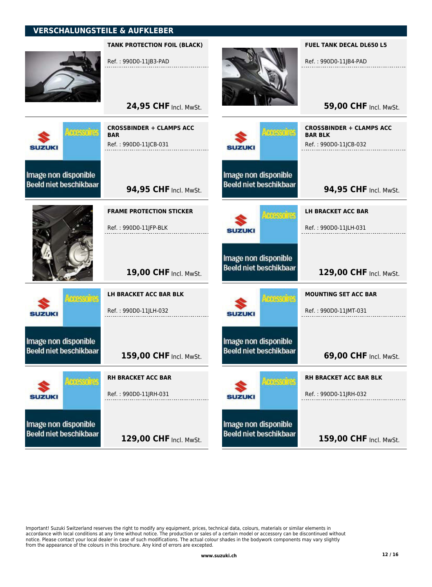

resorte

TANK PROTECTION FOIL (BLACK)

Ref. : 990D0-11JB3-PAD

24,95 CHF Incl. MwSt.



THESE THE

mas fr

**SUZUKI** 

**SUZUKI** 

Image non disponible

**Beeld niet beschikbaar** 

Image non disponible

**Beeld niet beschikbaar** 

| BAR                   |  |  |  |  |  |
|-----------------------|--|--|--|--|--|
| Ref.: 990D0-11JCB-031 |  |  |  |  |  |
|                       |  |  |  |  |  |
|                       |  |  |  |  |  |
|                       |  |  |  |  |  |
|                       |  |  |  |  |  |
| 94,95 CHF Incl. MwSt. |  |  |  |  |  |
|                       |  |  |  |  |  |
|                       |  |  |  |  |  |

CROSSBINDER + CLAMPS ACC

FRAME PROTECTION STICKER Ref. : 990D0-11JFP-BLK

19,00 CHF Incl. MwSt.

LH BRACKET ACC BAR BLK Ref. : 990D0-11JLH-032

159,00 CHF Incl. MwSt. RH BRACKET ACC BAR Ref. : 990D0-11JRH-031

129,00 CHF Incl. MwSt.



Image non disponible

**Beeld niet beschikbaar** 

**SUZUKI** 

**BOOKS OF** 

FUEL TANK DECAL DL650 L5

Ref. : 990D0-11JB4-PAD

**59,00 CHF Incl. MwSt.** 

**94,95 CHF Incl. MwSt.** Ref. : 990D0-11JCB-032

LH BRACKET ACC BAR

Ref. : 990D0-11JLH-031

**Beeld niet beschikbaar** 129,00 CHF Incl. MwSt.

MOUNTING SET ACC BAR

Ref. : 990D0-11JMT-031

mesofra **SUZUKI** 

Image non disponible

Image non disponible **Beeld niet beschikbaar** 

**SUZUKI** 

meade

RH BRACKET ACC BAR BLK

Ref. : 990D0-11JRH-032

Image non disponible **Beeld niet beschikbaar** 

159,00 CHF Incl. MwSt.

**69,00 CHF Incl. MwSt.**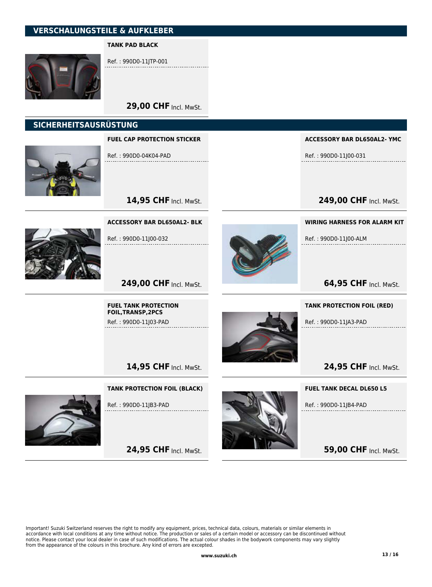#### TANK PAD BLACK



Ref. : 990D0-11JTP-001

29,00 CHF Incl. MwSt.

#### SICHERHEITSAUSRÜSTUNG



FUEL CAP PROTECTION STICKER

Ref. : 990D0-04K04-PAD

ACCESSORY BAR DL650AL2- YMC

Ref. : 990D0-11J00-031

249,00 CHF Incl. MwSt.



14,95 CHF Incl. MwSt.

249,00 CHF Incl. MwSt.

FUEL TANK PROTECTION FOIL,TRANSP,2PCS Ref. : 990D0-11J03-PAD



WIRING HARNESS FOR ALARM KIT

Ref. : 990D0-11J00-ALM

64,95 CHF Incl. MwSt.

TANK PROTECTION FOIL (RED)

Ref. : 990D0-11JA3-PAD

14,95 CHF Incl. MwSt.

#### TANK PROTECTION FOIL (BLACK)



Ref. : 990D0-11JB3-PAD

24,95 CHF Incl. MwSt.



FUEL TANK DECAL DL650 L5

24,95 CHF Incl. MwSt.

Ref. : 990D0-11JB4-PAD

**59,00 CHF Incl. MwSt.**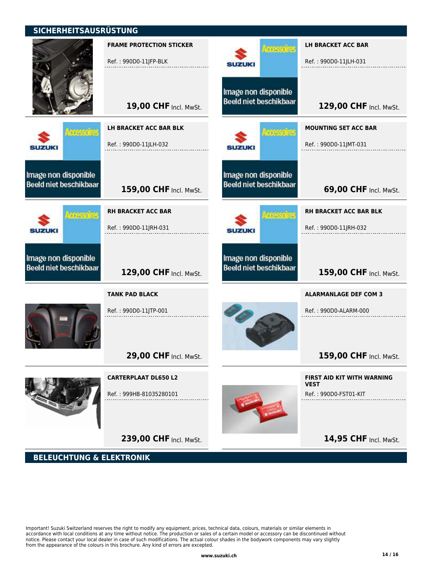## SICHERHEITSAUSRÜSTUNG

I

|                                                       | <b>FRAME PROTECTION STICKER</b><br>Ref.: 990D0-11JFP-BLK | <b>FILENDIE</b><br><b>SUZUKI</b>                      | <b>LH BRACKET ACC BAR</b><br>Ref.: 990D0-11JLH-031     |
|-------------------------------------------------------|----------------------------------------------------------|-------------------------------------------------------|--------------------------------------------------------|
|                                                       | 19,00 CHF Incl. MwSt.                                    | Image non disponible<br><b>Beeld niet beschikbaar</b> | 129,00 CHF Incl. MwSt.                                 |
| meadre<br><b>SUZUKI</b>                               | LH BRACKET ACC BAR BLK<br>Ref.: 990D0-11JLH-032          | <b>THEMILIE</b><br><b>SUZUKI</b>                      | <b>MOUNTING SET ACC BAR</b><br>Ref.: 990D0-11JMT-031   |
| Image non disponible<br>Beeld niet beschikbaar        | 159,00 CHF Incl. MwSt.                                   | Image non disponible<br><b>Beeld niet beschikbaar</b> | 69,00 CHF Incl. MwSt.                                  |
| <b>TOESSO'NE</b><br><b>SUZUKI</b>                     | <b>RH BRACKET ACC BAR</b><br>Ref.: 990D0-11JRH-031       | <b>THEYOT</b><br><b>SUZUKI</b>                        | <b>RH BRACKET ACC BAR BLK</b><br>Ref.: 990D0-11JRH-032 |
| Image non disponible<br><b>Beeld niet beschikbaar</b> | 129,00 CHF Incl. MwSt.                                   | Image non disponible<br><b>Beeld niet beschikbaar</b> | 159,00 CHF Incl. MwSt.                                 |
|                                                       | <b>TANK PAD BLACK</b>                                    |                                                       | <b>ALARMANLAGE DEF COM 3</b>                           |
|                                                       | Ref.: 990D0-11JTP-001                                    |                                                       | Ref.: 990D0-ALARM-000                                  |
|                                                       | 29,00 CHF Incl. MwSt.                                    |                                                       | 159,00 CHF Incl. MwSt.                                 |
|                                                       | <b>CARTERPLAAT DL650 L2</b>                              |                                                       | <b>FIRST AID KIT WITH WARNING</b><br><b>VEST</b>       |
|                                                       | Ref.: 999HB-81035280101                                  |                                                       | Ref.: 990D0-FST01-KIT                                  |
|                                                       |                                                          |                                                       |                                                        |
|                                                       | 239,00 CHF Incl. MwSt.                                   |                                                       | 14,95 CHF Incl. MwSt.                                  |

BELEUCHTUNG & ELEKTRONIK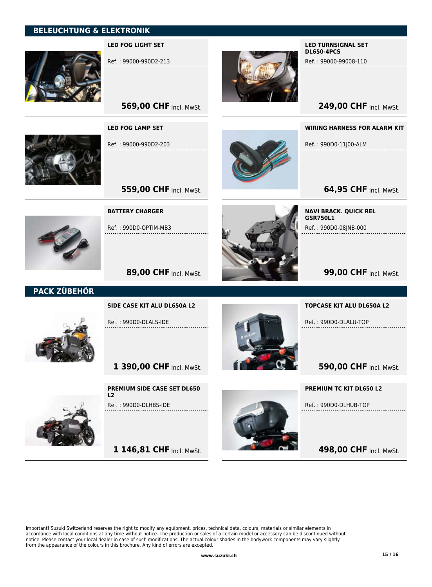## BELEUCHTUNG & ELEKTRONIK



#### LED FOG LIGHT SET

Ref. : 99000-990D2-213



#### LED TURNSIGNAL SET DL650-4PCS

Ref. : 99000-99008-110

249,00 CHF Incl. MwSt.

# **569,00 CHF Incl. MwSt.**



Ref. : 99000-990D2-203

LED FOG LAMP SET



WIRING HARNESS FOR ALARM KIT

Ref. : 990D0-11J00-ALM . . . . . . . . . . . . . . . .

**64,95 CHF Incl. MwSt.** 



BATTERY CHARGER

Ref. : 990D0-OPTIM-MB3



NAVI BRACK. QUICK REL GSR750L1 Ref. : 990D0-08JNB-000

**99,00 CHF Incl. MwSt.** 

89,00 CHF Incl. MwSt.

**559,00 CHF Incl. MwSt.** 

## PACK ZÜBEHÖR



Ref. : 990D0-DLALS-IDE



#### TOPCASE KIT ALU DL650A L2

Ref. : 990D0-DLALU-TOP

**590,00 CHF Incl. MwSt.** 

# PREMIUM TC KIT DL650 L2

Ref. : 990D0-DLHUB-TOP

498,00 CHF Incl. MwSt.

PREMIUM SIDE CASE SET DL650 L2

Ref. : 990D0-DLHBS-IDE

1 390,00 CHF Incl. MwSt.



1 146,81 CHF Incl. MwSt.